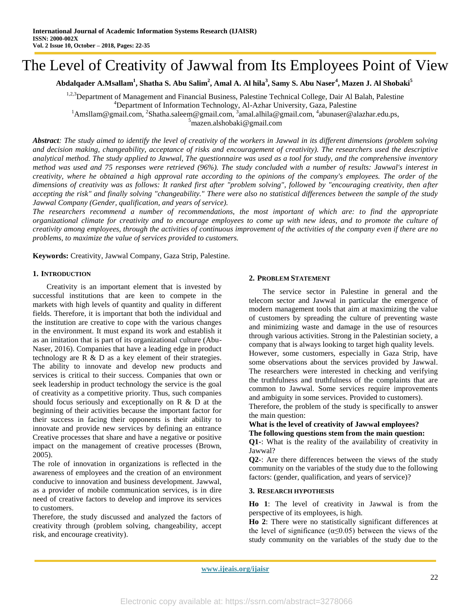# The Level of Creativity of Jawwal from Its Employees Point of View

# **Abdalqader A.Msallam<sup>1</sup> , Shatha S. Abu Salim<sup>2</sup> , Amal A. Al hila<sup>3</sup> , Samy S. Abu Naser<sup>4</sup> , Mazen J. Al Shobaki<sup>5</sup>**

<sup>1,2,3</sup>Department of Management and Financial Business, Palestine Technical College, Dair Al Balah, Palestine <sup>4</sup>Department of Information Technology, Al-Azhar University, Gaza, Palestine <sup>1</sup>[Amsllam@gmail.com,](mailto:1Amsllam@gmail.com) <sup>2</sup>[Shatha.saleem@gmail.com,](mailto:Shatha.saleem@gmail.com) <sup>3</sup>amal.alhila@gmail.com, <sup>4</sup>[abunaser@alazhar.edu.ps,](mailto:abunaser@alazhar.edu.ps)  $5$ [mazen.alshobaki@gmail.com](mailto:5mazen.alshobaki@gmail.com)

*Abstract: The study aimed to identify the level of creativity of the workers in Jawwal in its different dimensions (problem solving and decision making, changeability, acceptance of risks and encouragement of creativity). The researchers used the descriptive analytical method. The study applied to Jawwal, The questionnaire was used as a tool for study, and the comprehensive inventory method was used and 75 responses were retrieved (96%). The study concluded with a number of results: Jawwal's interest in creativity, where he obtained a high approval rate according to the opinions of the company's employees. The order of the dimensions of creativity was as follows: It ranked first after "problem solving", followed by "encouraging creativity, then after accepting the risk" and finally solving "changeability." There were also no statistical differences between the sample of the study Jawwal Company (Gender, qualification, and years of service).*

*The researchers recommend a number of recommendations, the most important of which are: to find the appropriate organizational climate for creativity and to encourage employees to come up with new ideas, and to promote the culture of creativity among employees, through the activities of continuous improvement of the activities of the company even if there are no problems, to maximize the value of services provided to customers.*

**Keywords:** Creativity, Jawwal Company, Gaza Strip, Palestine.

#### **1. INTRODUCTION**

Creativity is an important element that is invested by successful institutions that are keen to compete in the markets with high levels of quantity and quality in different fields. Therefore, it is important that both the individual and the institution are creative to cope with the various changes in the environment. It must expand its work and establish it as an imitation that is part of its organizational culture (Abu-Naser, 2016). Companies that have a leading edge in product technology are R & D as a key element of their strategies. The ability to innovate and develop new products and services is critical to their success. Companies that own or seek leadership in product technology the service is the goal of creativity as a competitive priority. Thus, such companies should focus seriously and exceptionally on  $R \& D$  at the beginning of their activities because the important factor for their success in facing their opponents is their ability to innovate and provide new services by defining an entrance Creative processes that share and have a negative or positive impact on the management of creative processes (Brown, 2005).

The role of innovation in organizations is reflected in the awareness of employees and the creation of an environment conducive to innovation and business development. Jawwal, as a provider of mobile communication services, is in dire need of creative factors to develop and improve its services to customers.

Therefore, the study discussed and analyzed the factors of creativity through (problem solving, changeability, accept risk, and encourage creativity).

#### **2. PROBLEM STATEMENT**

The service sector in Palestine in general and the telecom sector and Jawwal in particular the emergence of modern management tools that aim at maximizing the value of customers by spreading the culture of preventing waste and minimizing waste and damage in the use of resources through various activities. Strong in the Palestinian society, a company that is always looking to target high quality levels. However, some customers, especially in Gaza Strip, have some observations about the services provided by Jawwal. The researchers were interested in checking and verifying the truthfulness and truthfulness of the complaints that are common to Jawwal. Some services require improvements

and ambiguity in some services. Provided to customers). Therefore, the problem of the study is specifically to answer

#### the main question: **What is the level of creativity of Jawwal employees? The following questions stem from the main question:**

**Q1-**: What is the reality of the availability of creativity in Jawwal?

**Q2-**: Are there differences between the views of the study community on the variables of the study due to the following factors: (gender, qualification, and years of service)?

#### **3. RESEARCH HYPOTHESIS**

**Ho 1**: The level of creativity in Jawwal is from the perspective of its employees, is high.

**Ho 2**: There were no statistically significant differences at the level of significance ( $\alpha \leq 0.05$ ) between the views of the study community on the variables of the study due to the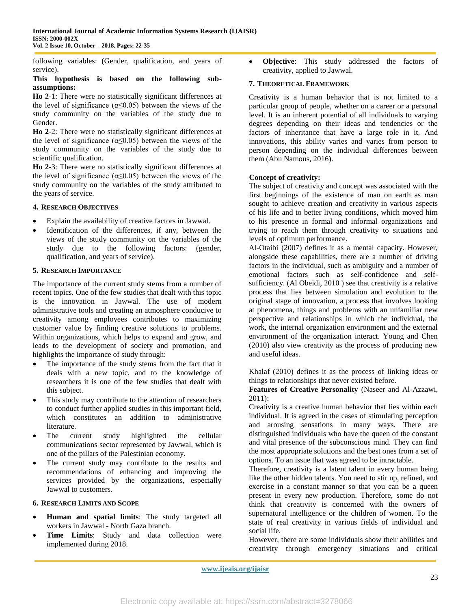following variables: (Gender, qualification, and years of service).

#### **This hypothesis is based on the following subassumptions:**

**Ho 2**-1: There were no statistically significant differences at the level of significance ( $\alpha \leq 0.05$ ) between the views of the study community on the variables of the study due to Gender.

**Ho 2**-2: There were no statistically significant differences at the level of significance ( $\alpha \leq 0.05$ ) between the views of the study community on the variables of the study due to scientific qualification.

**Ho 2**-3: There were no statistically significant differences at the level of significance ( $\alpha \leq 0.05$ ) between the views of the study community on the variables of the study attributed to the years of service.

## **4. RESEARCH OBJECTIVES**

- Explain the availability of creative factors in Jawwal.
- Identification of the differences, if any, between the views of the study community on the variables of the study due to the following factors: (gender, qualification, and years of service).

#### **5. RESEARCH IMPORTANCE**

The importance of the current study stems from a number of recent topics. One of the few studies that dealt with this topic is the innovation in Jawwal. The use of modern administrative tools and creating an atmosphere conducive to creativity among employees contributes to maximizing customer value by finding creative solutions to problems. Within organizations, which helps to expand and grow, and leads to the development of society and promotion, and highlights the importance of study through:

- The importance of the study stems from the fact that it deals with a new topic, and to the knowledge of researchers it is one of the few studies that dealt with this subject.
- This study may contribute to the attention of researchers to conduct further applied studies in this important field, which constitutes an addition to administrative literature.
- The current study highlighted the cellular communications sector represented by Jawwal, which is one of the pillars of the Palestinian economy.
- The current study may contribute to the results and recommendations of enhancing and improving the services provided by the organizations, especially Jawwal to customers.

# **6. RESEARCH LIMITS AND SCOPE**

- **Human and spatial limits**: The study targeted all workers in Jawwal - North Gaza branch.
- **Time Limits**: Study and data collection were implemented during 2018.

 **Objective**: This study addressed the factors of creativity, applied to Jawwal.

#### **7. THEORETICAL FRAMEWORK**

Creativity is a human behavior that is not limited to a particular group of people, whether on a career or a personal level. It is an inherent potential of all individuals to varying degrees depending on their ideas and tendencies or the factors of inheritance that have a large role in it. And innovations, this ability varies and varies from person to person depending on the individual differences between them (Abu Namous, 2016).

#### **Concept of creativity:**

The subject of creativity and concept was associated with the first beginnings of the existence of man on earth as man sought to achieve creation and creativity in various aspects of his life and to better living conditions, which moved him to his presence in formal and informal organizations and trying to reach them through creativity to situations and levels of optimum performance.

Al-Otaibi (2007) defines it as a mental capacity. However, alongside these capabilities, there are a number of driving factors in the individual, such as ambiguity and a number of emotional factors such as self-confidence and selfsufficiency. (Al Obeidi, 2010 ) see that creativity is a relative process that lies between simulation and evolution to the original stage of innovation, a process that involves looking at phenomena, things and problems with an unfamiliar new perspective and relationships in which the individual, the work, the internal organization environment and the external environment of the organization interact. Young and Chen (2010) also view creativity as the process of producing new and useful ideas.

Khalaf (2010) defines it as the process of linking ideas or things to relationships that never existed before.

**Features of Creative Personality** (Naseer and Al-Azzawi, 2011):

Creativity is a creative human behavior that lies within each individual. It is agreed in the cases of stimulating perception and arousing sensations in many ways. There are distinguished individuals who have the queen of the constant and vital presence of the subconscious mind. They can find the most appropriate solutions and the best ones from a set of options. To an issue that was agreed to be intractable.

Therefore, creativity is a latent talent in every human being like the other hidden talents. You need to stir up, refined, and exercise in a constant manner so that you can be a queen present in every new production. Therefore, some do not think that creativity is concerned with the owners of supernatural intelligence or the children of women. To the state of real creativity in various fields of individual and social life.

However, there are some individuals show their abilities and creativity through emergency situations and critical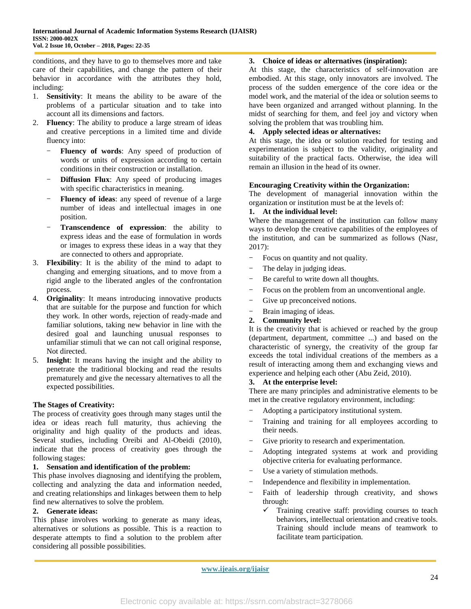conditions, and they have to go to themselves more and take care of their capabilities, and change the pattern of their behavior in accordance with the attributes they hold, including:

- 1. **Sensitivity**: It means the ability to be aware of the problems of a particular situation and to take into account all its dimensions and factors.
- 2. **Fluency**: The ability to produce a large stream of ideas and creative perceptions in a limited time and divide fluency into:
	- Fluency of words: Any speed of production of words or units of expression according to certain conditions in their construction or installation.
	- **Diffusion Flux**: Any speed of producing images with specific characteristics in meaning.
	- Fluency of ideas: any speed of revenue of a large number of ideas and intellectual images in one position.
	- Transcendence of expression: the ability to express ideas and the ease of formulation in words or images to express these ideas in a way that they are connected to others and appropriate.
- 3. **Flexibility**: It is the ability of the mind to adapt to changing and emerging situations, and to move from a rigid angle to the liberated angles of the confrontation process.
- 4. **Originality**: It means introducing innovative products that are suitable for the purpose and function for which they work. In other words, rejection of ready-made and familiar solutions, taking new behavior in line with the desired goal and launching unusual responses to unfamiliar stimuli that we can not call original response, Not directed.
- 5. **Insight**: It means having the insight and the ability to penetrate the traditional blocking and read the results prematurely and give the necessary alternatives to all the expected possibilities.

## **The Stages of Creativity:**

The process of creativity goes through many stages until the idea or ideas reach full maturity, thus achieving the originality and high quality of the products and ideas. Several studies, including Oreibi and Al-Obeidi (2010), indicate that the process of creativity goes through the following stages:

#### **1. Sensation and identification of the problem:**

This phase involves diagnosing and identifying the problem, collecting and analyzing the data and information needed, and creating relationships and linkages between them to help find new alternatives to solve the problem.

## **2. Generate ideas:**

This phase involves working to generate as many ideas, alternatives or solutions as possible. This is a reaction to desperate attempts to find a solution to the problem after considering all possible possibilities.

#### **3. Choice of ideas or alternatives (inspiration):**

At this stage, the characteristics of self-innovation are embodied. At this stage, only innovators are involved. The process of the sudden emergence of the core idea or the model work, and the material of the idea or solution seems to have been organized and arranged without planning. In the midst of searching for them, and feel joy and victory when solving the problem that was troubling him.

# **4. Apply selected ideas or alternatives:**

At this stage, the idea or solution reached for testing and experimentation is subject to the validity, originality and suitability of the practical facts. Otherwise, the idea will remain an illusion in the head of its owner.

#### **Encouraging Creativity within the Organization:**

The development of managerial innovation within the organization or institution must be at the levels of:

#### **1. At the individual level:**

Where the management of the institution can follow many ways to develop the creative capabilities of the employees of the institution, and can be summarized as follows (Nasr, 2017):

- Focus on quantity and not quality.
- The delay in judging ideas.
- Be careful to write down all thoughts.
- Focus on the problem from an unconventional angle.
- Give up preconceived notions.
- Brain imaging of ideas.

#### **2. Community level:**

It is the creativity that is achieved or reached by the group (department, department, committee ...) and based on the characteristic of synergy, the creativity of the group far exceeds the total individual creations of the members as a result of interacting among them and exchanging views and experience and helping each other (Abu Zeid, 2010).

#### **3. At the enterprise level:**

There are many principles and administrative elements to be met in the creative regulatory environment, including:

- Adopting a participatory institutional system.
- Training and training for all employees according to their needs.
- Give priority to research and experimentation.
- Adopting integrated systems at work and providing objective criteria for evaluating performance.
- Use a variety of stimulation methods.
- Independence and flexibility in implementation.
- Faith of leadership through creativity, and shows through:
	- $\checkmark$  Training creative staff: providing courses to teach behaviors, intellectual orientation and creative tools. Training should include means of teamwork to facilitate team participation.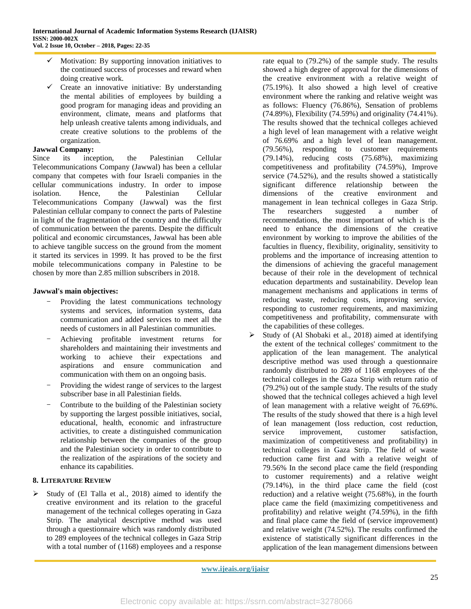- Motivation: By supporting innovation initiatives to the continued success of processes and reward when doing creative work.
- Create an innovative initiative: By understanding the mental abilities of employees by building a good program for managing ideas and providing an environment, climate, means and platforms that help unleash creative talents among individuals, and create creative solutions to the problems of the organization.

# **Jawwal Company:**

Since its inception, the Palestinian Cellular Telecommunications Company (Jawwal) has been a cellular company that competes with four Israeli companies in the cellular communications industry. In order to impose isolation. Hence, the Palestinian Cellular Telecommunications Company (Jawwal) was the first Palestinian cellular company to connect the parts of Palestine in light of the fragmentation of the country and the difficulty of communication between the parents. Despite the difficult political and economic circumstances, Jawwal has been able to achieve tangible success on the ground from the moment it started its services in 1999. It has proved to be the first mobile telecommunications company in Palestine to be chosen by more than 2.85 million subscribers in 2018.

# **Jawwal's main objectives:**

- Providing the latest communications technology systems and services, information systems, data communication and added services to meet all the needs of customers in all Palestinian communities.
- Achieving profitable investment returns for shareholders and maintaining their investments and working to achieve their expectations and aspirations and ensure communication and communication with them on an ongoing basis.
- Providing the widest range of services to the largest subscriber base in all Palestinian fields.
- Contribute to the building of the Palestinian society by supporting the largest possible initiatives, social, educational, health, economic and infrastructure activities, to create a distinguished communication relationship between the companies of the group and the Palestinian society in order to contribute to the realization of the aspirations of the society and enhance its capabilities.

# **8. LITERATURE REVIEW**

 $\triangleright$  Study of (El Talla et al., 2018) aimed to identify the creative environment and its relation to the graceful management of the technical colleges operating in Gaza Strip. The analytical descriptive method was used through a questionnaire which was randomly distributed to 289 employees of the technical colleges in Gaza Strip with a total number of (1168) employees and a response

rate equal to (79.2%) of the sample study. The results showed a high degree of approval for the dimensions of the creative environment with a relative weight of (75.19%). It also showed a high level of creative environment where the ranking and relative weight was as follows: Fluency (76.86%), Sensation of problems (74.89%), Flexibility (74.59%) and originality (74.41%). The results showed that the technical colleges achieved a high level of lean management with a relative weight of 76.69% and a high level of lean management. (79.56%), responding to customer requirements (79.14%), reducing costs (75.68%), maximizing competitiveness and profitability (74.59%), Improve service (74.52%), and the results showed a statistically significant difference relationship between the dimensions of the creative environment and management in lean technical colleges in Gaza Strip. The researchers suggested a number of recommendations, the most important of which is the need to enhance the dimensions of the creative environment by working to improve the abilities of the faculties in fluency, flexibility, originality, sensitivity to problems and the importance of increasing attention to the dimensions of achieving the graceful management because of their role in the development of technical education departments and sustainability. Develop lean management mechanisms and applications in terms of reducing waste, reducing costs, improving service, responding to customer requirements, and maximizing competitiveness and profitability, commensurate with the capabilities of these colleges.

 $\triangleright$  Study of (Al Shobaki et al., 2018) aimed at identifying the extent of the technical colleges' commitment to the application of the lean management. The analytical descriptive method was used through a questionnaire randomly distributed to 289 of 1168 employees of the technical colleges in the Gaza Strip with return ratio of (79.2%) out of the sample study. The results of the study showed that the technical colleges achieved a high level of lean management with a relative weight of 76.69%. The results of the study showed that there is a high level of lean management (loss reduction, cost reduction, service improvement, customer satisfaction, maximization of competitiveness and profitability) in technical colleges in Gaza Strip. The field of waste reduction came first and with a relative weight of 79.56% In the second place came the field (responding to customer requirements) and a relative weight (79.14%), in the third place came the field (cost reduction) and a relative weight (75.68%), in the fourth place came the field (maximizing competitiveness and profitability) and relative weight (74.59%), in the fifth and final place came the field of (service improvement) and relative weight (74.52%). The results confirmed the existence of statistically significant differences in the application of the lean management dimensions between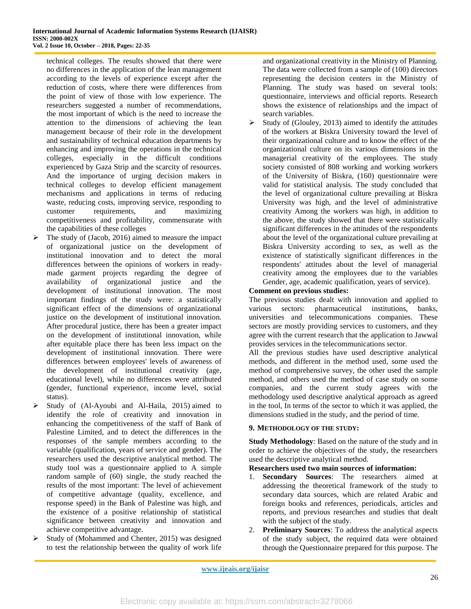technical colleges. The results showed that there were no differences in the application of the lean management according to the levels of experience except after the reduction of costs, where there were differences from the point of view of those with low experience. The researchers suggested a number of recommendations, the most important of which is the need to increase the attention to the dimensions of achieving the lean management because of their role in the development and sustainability of technical education departments by enhancing and improving the operations in the technical colleges, especially in the difficult conditions experienced by Gaza Strip and the scarcity of resources. And the importance of urging decision makers in technical colleges to develop efficient management mechanisms and applications in terms of reducing waste, reducing costs, improving service, responding to customer requirements, and maximizing competitiveness and profitability, commensurate with the capabilities of these colleges

- $\triangleright$  The study of (Jacob, 2016) aimed to measure the impact of organizational justice on the development of institutional innovation and to detect the moral differences between the opinions of workers in readymade garment projects regarding the degree of availability of organizational justice and the development of institutional innovation. The most important findings of the study were: a statistically significant effect of the dimensions of organizational justice on the development of institutional innovation. After procedural justice, there has been a greater impact on the development of institutional innovation, while after equitable place there has been less impact on the development of institutional innovation. There were differences between employees' levels of awareness of the development of institutional creativity (age, educational level), while no differences were attributed (gender, functional experience, income level, social status).
- Study of (Al-Ayoubi and Al-Haila, 2015) aimed to identify the role of creativity and innovation in enhancing the competitiveness of the staff of Bank of Palestine Limited, and to detect the differences in the responses of the sample members according to the variable (qualification, years of service and gender). The researchers used the descriptive analytical method. The study tool was a questionnaire applied to A simple random sample of (60) single, the study reached the results of the most important: The level of achievement of competitive advantage (quality, excellence, and response speed) in the Bank of Palestine was high, and the existence of a positive relationship of statistical significance between creativity and innovation and achieve competitive advantage.
- $\triangleright$  Study of (Mohammed and Chenter, 2015) was designed to test the relationship between the quality of work life

and organizational creativity in the Ministry of Planning. The data were collected from a sample of (100) directors representing the decision centers in the Ministry of Planning. The study was based on several tools: questionnaire, interviews and official reports. Research shows the existence of relationships and the impact of search variables.

 $\triangleright$  Study of (Glouley, 2013) aimed to identify the attitudes of the workers at Biskra University toward the level of their organizational culture and to know the effect of the organizational culture on its various dimensions in the managerial creativity of the employees. The study society consisted of 808 working and working workers of the University of Biskra, (160) questionnaire were valid for statistical analysis. The study concluded that the level of organizational culture prevailing at Biskra University was high, and the level of administrative creativity Among the workers was high, in addition to the above, the study showed that there were statistically significant differences in the attitudes of the respondents about the level of the organizational culture prevailing at Biskra University according to sex, as well as the existence of statistically significant differences in the respondents' attitudes about the level of managerial creativity among the employees due to the variables Gender, age, academic qualification, years of service).

#### **Comment on previous studies:**

The previous studies dealt with innovation and applied to various sectors: pharmaceutical institutions, banks, universities and telecommunications companies. These sectors are mostly providing services to customers, and they agree with the current research that the application to Jawwal provides services in the telecommunications sector.

All the previous studies have used descriptive analytical methods, and different in the method used, some used the method of comprehensive survey, the other used the sample method, and others used the method of case study on some companies, and the current study agrees with the methodology used descriptive analytical approach as agreed in the tool, In terms of the sector to which it was applied, the dimensions studied in the study, and the period of time.

## **9. METHODOLOGY OF THE STUDY:**

**Study Methodology**: Based on the nature of the study and in order to achieve the objectives of the study, the researchers used the descriptive analytical method.

## **Researchers used two main sources of information:**

- 1. **Secondary Sources**: The researchers aimed at addressing the theoretical framework of the study to secondary data sources, which are related Arabic and foreign books and references, periodicals, articles and reports, and previous researches and studies that dealt with the subject of the study.
- 2. **Preliminary Sources**: To address the analytical aspects of the study subject, the required data were obtained through the Questionnaire prepared for this purpose. The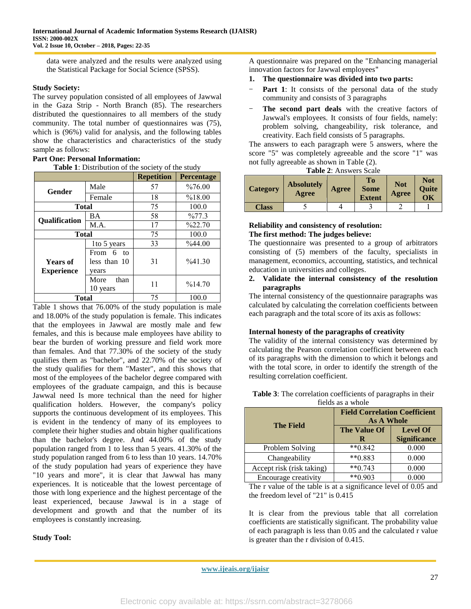data were analyzed and the results were analyzed using the Statistical Package for Social Science (SPSS).

#### **Study Society:**

The survey population consisted of all employees of Jawwal in the Gaza Strip - North Branch (85). The researchers distributed the questionnaires to all members of the study community. The total number of questionnaires was (75), which is (96%) valid for analysis, and the following tables show the characteristics and characteristics of the study sample as follows:

## **Part One: Personal Information:**

**Table 1**: Distribution of the society of the study

|                                      |                                       | <b>Repetition</b> | <b>Percentage</b>  |
|--------------------------------------|---------------------------------------|-------------------|--------------------|
| Gender                               | Male                                  | 57                | %76.00             |
|                                      | Female                                | 18                | %18.00             |
| <b>Total</b>                         |                                       | 75                | 100.0              |
| <b>Qualification</b>                 | ВA                                    | 58                | $\frac{9}{677.3}$  |
|                                      | M.A.                                  | 17                | $\frac{622.70}{6}$ |
| <b>Total</b>                         |                                       | 75                | 100.0              |
|                                      | 1to 5 years                           | 33                | $\%44.00$          |
| <b>Years of</b><br><b>Experience</b> | From 6<br>tΩ<br>less than 10<br>years | 31                | %41.30             |
|                                      | More<br>than<br>10 years              | 11                | %14.70             |
| Total                                |                                       | 75                | 100.0              |

Table 1 shows that 76.00% of the study population is male and 18.00% of the study population is female. This indicates that the employees in Jawwal are mostly male and few females, and this is because male employees have ability to bear the burden of working pressure and field work more than females. And that 77.30% of the society of the study qualifies them as "bachelor", and 22.70% of the society of the study qualifies for them "Master", and this shows that most of the employees of the bachelor degree compared with employees of the graduate campaign, and this is because Jawwal need Is more technical than the need for higher qualification holders. However, the company's policy supports the continuous development of its employees. This is evident in the tendency of many of its employees to complete their higher studies and obtain higher qualifications than the bachelor's degree. And 44.00% of the study population ranged from 1 to less than 5 years. 41.30% of the study population ranged from 6 to less than 10 years. 14.70% of the study population had years of experience they have "10 years and more", it is clear that Jawwal has many experiences. It is noticeable that the lowest percentage of those with long experience and the highest percentage of the least experienced, because Jawwal is in a stage of development and growth and that the number of its employees is constantly increasing.

# **Study Tool:**

A questionnaire was prepared on the "Enhancing managerial innovation factors for Jawwal employees"

- **1. The questionnaire was divided into two parts:**
- Part 1: It consists of the personal data of the study community and consists of 3 paragraphs
- The second part deals with the creative factors of Jawwal's employees. It consists of four fields, namely: problem solving, changeability, risk tolerance, and creativity. Each field consists of 5 paragraphs.

The answers to each paragraph were 5 answers, where the score "5" was completely agreeable and the score "1" was not fully agreeable as shown in Table (2).

|  | <b>Table 2:</b> Answers Scale |  |
|--|-------------------------------|--|
|  |                               |  |

| <b>Category</b> | <b>Absolutely</b><br>Agree | Agree | <b>To</b><br><b>Some</b><br><b>Extent</b> | <b>Not</b><br>Agree | <b>Not</b><br><b>Ouite</b><br>OК |
|-----------------|----------------------------|-------|-------------------------------------------|---------------------|----------------------------------|
| <b>Class</b>    |                            |       |                                           |                     |                                  |

#### **Reliability and consistency of resolution: The first method: The judges believe:**

The questionnaire was presented to a group of arbitrators consisting of (5) members of the faculty, specialists in management, economics, accounting, statistics, and technical education in universities and colleges.

#### **2. Validate the internal consistency of the resolution paragraphs**

The internal consistency of the questionnaire paragraphs was calculated by calculating the correlation coefficients between each paragraph and the total score of its axis as follows:

## **Internal honesty of the paragraphs of creativity**

The validity of the internal consistency was determined by calculating the Pearson correlation coefficient between each of its paragraphs with the dimension to which it belongs and with the total score, in order to identify the strength of the resulting correlation coefficient.

| Table 3: The correlation coefficients of paragraphs in their |
|--------------------------------------------------------------|
| fields as a whole                                            |

|                           | <b>Field Correlation Coefficient</b><br><b>As A Whole</b> |                                        |  |  |  |  |  |
|---------------------------|-----------------------------------------------------------|----------------------------------------|--|--|--|--|--|
| <b>The Field</b>          | The Value Of<br>R                                         | <b>Level Of</b><br><b>Significance</b> |  |  |  |  |  |
| Problem Solving           | $**0.842$                                                 | 0.000                                  |  |  |  |  |  |
| Changeability             | $*$ $*$ 0.883                                             | 0.000                                  |  |  |  |  |  |
| Accept risk (risk taking) | $**0.743$                                                 | 0.000                                  |  |  |  |  |  |
| Encourage creativity      | $**0.903$                                                 | 0.000                                  |  |  |  |  |  |

The r value of the table is at a significance level of 0.05 and the freedom level of "21" is 0.415

It is clear from the previous table that all correlation coefficients are statistically significant. The probability value of each paragraph is less than 0.05 and the calculated r value is greater than the r division of 0.415.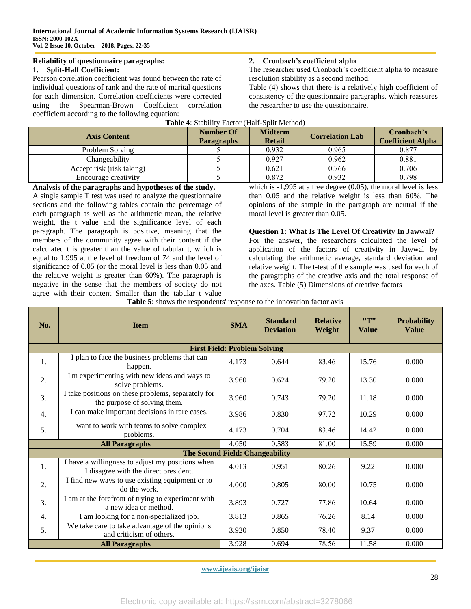#### **Reliability of questionnaire paragraphs: 1. Split-Half Coefficient:**

Pearson correlation coefficient was found between the rate of individual questions of rank and the rate of marital questions for each dimension. Correlation coefficients were corrected using the Spearman-Brown Coefficient correlation coefficient according to the following equation:

# **2. Cronbach's coefficient alpha**

The researcher used Cronbach's coefficient alpha to measure resolution stability as a second method.

Table (4) shows that there is a relatively high coefficient of consistency of the questionnaire paragraphs, which reassures the researcher to use the questionnaire.

| <b>Axis Content</b>       | Number Of<br><b>Paragraphs</b> | <b>Midterm</b><br><b>Retail</b> | <b>Correlation Lab</b> | Cronbach's<br><b>Coefficient Alpha</b> |
|---------------------------|--------------------------------|---------------------------------|------------------------|----------------------------------------|
| Problem Solving           |                                | 0.932                           | 0.965                  | 0.877                                  |
| Changeability             |                                | 0.927                           | 0.962                  | 0.881                                  |
| Accept risk (risk taking) |                                | 0.621                           | 0.766                  | 0.706                                  |
| Encourage creativity      |                                | 0.872                           | 0.932                  | 0.798                                  |

**Table 4**: Stability Factor (Half-Split Method)

**Analysis of the paragraphs and hypotheses of the study.**

A single sample T test was used to analyze the questionnaire sections and the following tables contain the percentage of each paragraph as well as the arithmetic mean, the relative weight, the t value and the significance level of each paragraph. The paragraph is positive, meaning that the members of the community agree with their content if the calculated t is greater than the value of tabular t, which is equal to 1.995 at the level of freedom of 74 and the level of significance of 0.05 (or the moral level is less than 0.05 and the relative weight is greater than 60%). The paragraph is negative in the sense that the members of society do not agree with their content Smaller than the tabular t value

which is -1,995 at a free degree (0.05), the moral level is less than 0.05 and the relative weight is less than 60%. The opinions of the sample in the paragraph are neutral if the moral level is greater than 0.05.

**Question 1: What Is The Level Of Creativity In Jawwal?** For the answer, the researchers calculated the level of application of the factors of creativity in Jawwal by calculating the arithmetic average, standard deviation and relative weight. The t-test of the sample was used for each of the paragraphs of the creative axis and the total response of the axes. Table (5) Dimensions of creative factors

| No. | <b>Item</b>                                                                               | <b>SMA</b>                          | <b>Standard</b><br><b>Deviation</b> | <b>Relative</b><br>Weight | "T"<br><b>Value</b> | <b>Probability</b><br><b>Value</b> |
|-----|-------------------------------------------------------------------------------------------|-------------------------------------|-------------------------------------|---------------------------|---------------------|------------------------------------|
|     |                                                                                           | <b>First Field: Problem Solving</b> |                                     |                           |                     |                                    |
| 1.  | I plan to face the business problems that can<br>happen.                                  | 4.173                               | 0.644                               | 83.46                     | 15.76               | 0.000                              |
| 2.  | I'm experimenting with new ideas and ways to<br>solve problems.                           | 3.960                               | 0.624                               | 79.20                     | 13.30               | 0.000                              |
| 3.  | I take positions on these problems, separately for<br>the purpose of solving them.        | 3.960                               | 0.743                               | 79.20                     | 11.18               | 0.000                              |
| 4.  | I can make important decisions in rare cases.                                             | 3.986                               | 0.830                               | 97.72                     | 10.29               | 0.000                              |
| 5.  | I want to work with teams to solve complex<br>problems.                                   | 4.173                               | 0.704                               | 83.46                     | 14.42               | 0.000                              |
|     | <b>All Paragraphs</b>                                                                     | 4.050                               | 0.583                               | 81.00                     | 15.59               | 0.000                              |
|     | The Second Field: Changeability                                                           |                                     |                                     |                           |                     |                                    |
| 1.  | I have a willingness to adjust my positions when<br>I disagree with the direct president. | 4.013                               | 0.951                               | 80.26                     | 9.22                | 0.000                              |
| 2.  | I find new ways to use existing equipment or to<br>do the work.                           | 4.000                               | 0.805                               | 80.00                     | 10.75               | 0.000                              |
| 3.  | I am at the forefront of trying to experiment with<br>a new idea or method.               | 3.893                               | 0.727                               | 77.86                     | 10.64               | 0.000                              |
| 4.  | I am looking for a non-specialized job.                                                   | 3.813                               | 0.865                               | 76.26                     | 8.14                | 0.000                              |
| 5.  | We take care to take advantage of the opinions<br>and criticism of others.                | 3.920                               | 0.850                               | 78.40                     | 9.37                | 0.000                              |
|     | <b>All Paragraphs</b>                                                                     | 3.928                               | 0.694                               | 78.56                     | 11.58               | 0.000                              |

**Table 5**: shows the respondents' response to the innovation factor axis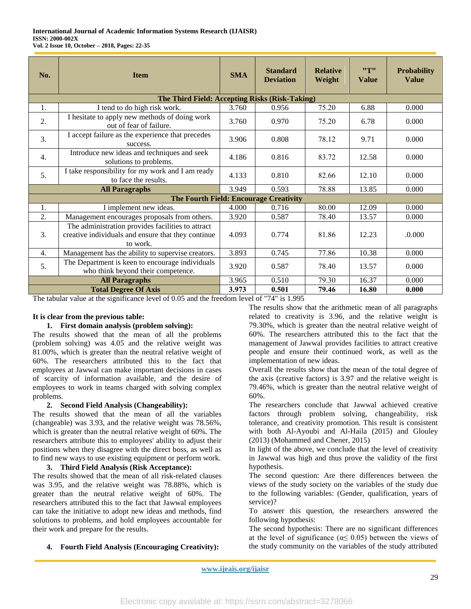| No. | <b>Item</b>                                                                                                         | <b>SMA</b> | <b>Standard</b><br><b>Deviation</b> | <b>Relative</b><br>Weight | "T"<br><b>Value</b> | <b>Probability</b><br><b>Value</b> |
|-----|---------------------------------------------------------------------------------------------------------------------|------------|-------------------------------------|---------------------------|---------------------|------------------------------------|
|     | The Third Field: Accepting Risks (Risk-Taking)                                                                      |            |                                     |                           |                     |                                    |
| 1.  | I tend to do high risk work.                                                                                        | 3.760      | 0.956                               | 75.20                     | 6.88                | 0.000                              |
| 2.  | I hesitate to apply new methods of doing work<br>out of fear of failure.                                            | 3.760      | 0.970                               | 75.20                     | 6.78                | 0.000                              |
| 3.  | I accept failure as the experience that precedes<br>success.                                                        | 3.906      | 0.808                               | 78.12                     | 9.71                | 0.000                              |
| 4.  | Introduce new ideas and techniques and seek<br>solutions to problems.                                               | 4.186      | 0.816                               | 83.72                     | 12.58               | 0.000                              |
| 5.  | I take responsibility for my work and I am ready<br>to face the results.                                            | 4.133      | 0.810                               | 82.66                     | 12.10               | 0.000                              |
|     | <b>All Paragraphs</b>                                                                                               | 3.949      | 0.593                               | 78.88                     | 13.85               | 0.000                              |
|     | The Fourth Field: Encourage Creativity                                                                              |            |                                     |                           |                     |                                    |
| 1.  | I implement new ideas.                                                                                              | 4.000      | 0.716                               | 80.00                     | 12.09               | 0.000                              |
| 2.  | Management encourages proposals from others.                                                                        | 3.920      | 0.587                               | 78.40                     | 13.57               | 0.000                              |
| 3.  | The administration provides facilities to attract<br>creative individuals and ensure that they continue<br>to work. | 4.093      | 0.774                               | 81.86                     | 12.23               | .0.000                             |
| 4.  | Management has the ability to supervise creators.                                                                   |            | 0.745                               | 77.86                     | 10.38               | 0.000                              |
| 5.  | The Department is keen to encourage individuals<br>who think beyond their competence.                               |            | 0.587                               | 78.40                     | 13.57               | 0.000                              |
|     | <b>All Paragraphs</b>                                                                                               | 3.965      | 0.510                               | 79.30                     | 16.37               | 0.000                              |
|     | <b>Total Degree Of Axis</b>                                                                                         | 3.973      | 0.501                               | 79.46                     | 16.80               | 0.000                              |

The tabular value at the significance level of 0.05 and the freedom level of "74" is 1.995

## **It is clear from the previous table:**

#### **1. First domain analysis (problem solving):**

The results showed that the mean of all the problems (problem solving) was 4.05 and the relative weight was 81.00%, which is greater than the neutral relative weight of 60%. The researchers attributed this to the fact that employees at Jawwal can make important decisions in cases of scarcity of information available, and the desire of employees to work in teams charged with solving complex problems.

#### **2. Second Field Analysis (Changeability):**

The results showed that the mean of all the variables (changeable) was 3.93, and the relative weight was 78.56%, which is greater than the neutral relative weight of 60%. The researchers attribute this to employees' ability to adjust their positions when they disagree with the direct boss, as well as to find new ways to use existing equipment or perform work.

#### **3. Third Field Analysis (Risk Acceptance):**

The results showed that the mean of all risk-related clauses was 3.95, and the relative weight was 78.88%, which is greater than the neutral relative weight of 60%. The researchers attributed this to the fact that Jawwal employees can take the initiative to adopt new ideas and methods, find solutions to problems, and hold employees accountable for their work and prepare for the results.

The results show that the arithmetic mean of all paragraphs related to creativity is 3.96, and the relative weight is 79.30%, which is greater than the neutral relative weight of 60%. The researchers attributed this to the fact that the management of Jawwal provides facilities to attract creative people and ensure their continued work, as well as the implementation of new ideas.

Overall the results show that the mean of the total degree of the axis (creative factors) is 3.97 and the relative weight is 79.46%, which is greater than the neutral relative weight of 60%.

The researchers conclude that Jawwal achieved creative factors through problem solving, changeability, risk tolerance, and creativity promotion. This result is consistent with both Al-Ayoubi and Al-Haila (2015) and Glouley (2013) (Mohammed and Chener, 2015)

In light of the above, we conclude that the level of creativity in Jawwal was high and thus prove the validity of the first hypothesis.

The second question: Are there differences between the views of the study society on the variables of the study due to the following variables: (Gender, qualification, years of service)?

To answer this question, the researchers answered the following hypothesis:

The second hypothesis: There are no significant differences at the level of significance ( $\alpha \leq 0.05$ ) between the views of the study community on the variables of the study attributed

**4. Fourth Field Analysis (Encouraging Creativity):**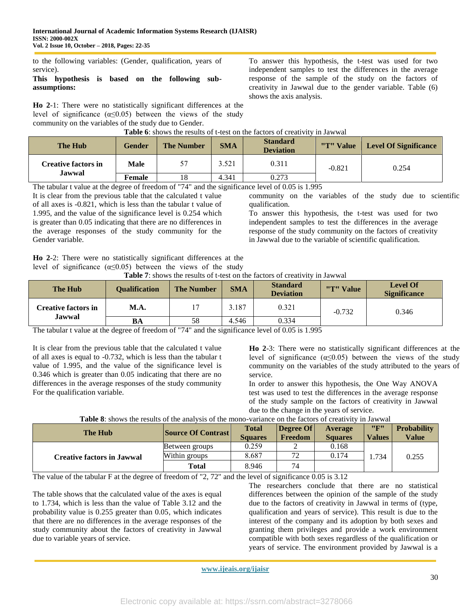to the following variables: (Gender, qualification, years of service).

#### **This hypothesis is based on the following subassumptions:**

**Ho 2**-1: There were no statistically significant differences at the level of significance  $(\alpha \le 0.05)$  between the views of the study community on the variables of the study due to Gender.

To answer this hypothesis, the t-test was used for two independent samples to test the differences in the average response of the sample of the study on the factors of creativity in Jawwal due to the gender variable. Table (6) shows the axis analysis.

| Table 6: shows the results of t-test on the factors of creativity in Jawwal |  |  |  |  |  |  |  |
|-----------------------------------------------------------------------------|--|--|--|--|--|--|--|
|                                                                             |  |  |  |  |  |  |  |

| The Hub                    | <b>Gender</b> | <b>The Number</b> | <b>SMA</b> | <b>Standard</b><br><b>Deviation</b> | "T" Value | <b>Level Of Significance</b> |
|----------------------------|---------------|-------------------|------------|-------------------------------------|-----------|------------------------------|
| <b>Creative factors in</b> | <b>Male</b>   |                   | 3.521      | 0.311                               | $-0.821$  | 0.254                        |
| <b>Jawwal</b>              | Female        | 18                | 4.341      | 0.273                               |           |                              |

The tabular t value at the degree of freedom of "74" and the significance level of 0.05 is 1.995

It is clear from the previous table that the calculated t value of all axes is -0.821, which is less than the tabular t value of 1.995, and the value of the significance level is 0.254 which is greater than 0.05 indicating that there are no differences in the average responses of the study community for the Gender variable.

community on the variables of the study due to scientific qualification.

To answer this hypothesis, the t-test was used for two independent samples to test the differences in the average response of the study community on the factors of creativity in Jawwal due to the variable of scientific qualification.

**Ho 2**-2: There were no statistically significant differences at the level of significance ( $\alpha \leq 0.05$ ) between the views of the study

**Table 7**: shows the results of t-test on the factors of creativity in Jawwal

| <b>The Hub</b>             | <b>Qualification</b> | <b>The Number</b> | <b>SMA</b> | <b>Standard</b><br><b>Deviation</b> | "T" Value | <b>Level Of</b><br><b>Significance</b> |
|----------------------------|----------------------|-------------------|------------|-------------------------------------|-----------|----------------------------------------|
| <b>Creative factors in</b> | <b>M.A.</b>          |                   | 3.187      | 0.321                               | $-0.732$  | 0.346                                  |
| Jawwal                     | BA                   | 58                | 4.546      | 0.334                               |           |                                        |

The tabular t value at the degree of freedom of "74" and the significance level of 0.05 is 1.995

It is clear from the previous table that the calculated t value of all axes is equal to -0.732, which is less than the tabular t value of 1.995, and the value of the significance level is 0.346 which is greater than 0.05 indicating that there are no differences in the average responses of the study community For the qualification variable.

**Ho 2**-3: There were no statistically significant differences at the level of significance  $(\alpha \le 0.05)$  between the views of the study community on the variables of the study attributed to the years of service.

In order to answer this hypothesis, the One Way ANOVA test was used to test the differences in the average response of the study sample on the factors of creativity in Jawwal due to the change in the years of service.

# **Table 8**: shows the results of the analysis of the mono-variance on the factors of creativity in Jawwal

| <b>The Hub</b>                    | <b>Source Of Contrast</b> | <b>Total</b><br><b>Squares</b> | Degree Of<br>Freedom | Average<br><b>Squares</b> | "F"<br><b>Values</b> | <b>Probability</b><br><b>Value</b> |
|-----------------------------------|---------------------------|--------------------------------|----------------------|---------------------------|----------------------|------------------------------------|
| <b>Creative factors in Jawwal</b> | Between groups            | 0.259                          |                      | 0.168                     |                      |                                    |
|                                   | Within groups             | 8.687                          | 72                   | 0.174                     | .734                 | 0.255                              |
|                                   | <b>Total</b>              | 8.946                          | 74                   |                           |                      |                                    |

The value of the tabular F at the degree of freedom of "2, 72" and the level of significance 0.05 is 3.12

The table shows that the calculated value of the axes is equal to 1.734, which is less than the value of Table 3.12 and the probability value is 0.255 greater than 0.05, which indicates that there are no differences in the average responses of the study community about the factors of creativity in Jawwal due to variable years of service.

The researchers conclude that there are no statistical differences between the opinion of the sample of the study due to the factors of creativity in Jawwal in terms of (type, qualification and years of service). This result is due to the interest of the company and its adoption by both sexes and granting them privileges and provide a work environment compatible with both sexes regardless of the qualification or years of service. The environment provided by Jawwal is a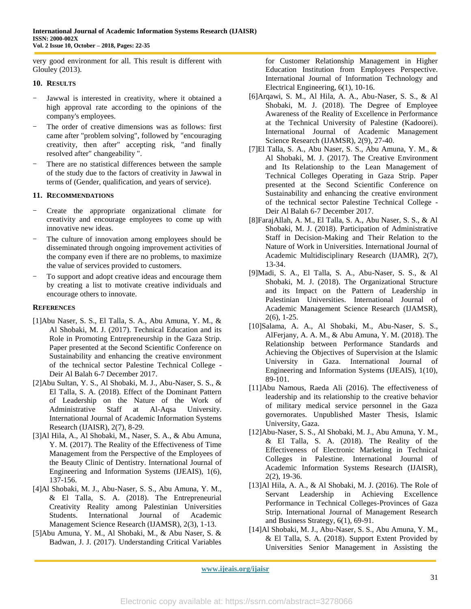very good environment for all. This result is different with Glouley (2013).

#### **10. RESULTS**

- Jawwal is interested in creativity, where it obtained a high approval rate according to the opinions of the company's employees.
- The order of creative dimensions was as follows: first came after "problem solving", followed by "encouraging creativity, then after" accepting risk, "and finally resolved after" changeability ".
- There are no statistical differences between the sample of the study due to the factors of creativity in Jawwal in terms of (Gender, qualification, and years of service).

#### **11. RECOMMENDATIONS**

- Create the appropriate organizational climate for creativity and encourage employees to come up with innovative new ideas.
- The culture of innovation among employees should be disseminated through ongoing improvement activities of the company even if there are no problems, to maximize the value of services provided to customers.
- To support and adopt creative ideas and encourage them by creating a list to motivate creative individuals and encourage others to innovate.

#### **REFERENCES**

- [1]Abu Naser, S. S., El Talla, S. A., Abu Amuna, Y. M., & Al Shobaki, M. J. (2017). Technical Education and its Role in Promoting Entrepreneurship in the Gaza Strip. Paper presented at the Second Scientific Conference on Sustainability and enhancing the creative environment of the technical sector Palestine Technical College - Deir Al Balah 6-7 December 2017.
- [2]Abu Sultan, Y. S., Al Shobaki, M. J., Abu-Naser, S. S., & El Talla, S. A. (2018). Effect of the Dominant Pattern of Leadership on the Nature of the Work of Administrative Staff at Al-Aqsa University. International Journal of Academic Information Systems Research (IJAISR), 2(7), 8-29.
- [3]Al Hila, A., Al Shobaki, M., Naser, S. A., & Abu Amuna, Y. M. (2017). The Reality of the Effectiveness of Time Management from the Perspective of the Employees of the Beauty Clinic of Dentistry. International Journal of Engineering and Information Systems (IJEAIS), 1(6), 137-156.
- [4]Al Shobaki, M. J., Abu-Naser, S. S., Abu Amuna, Y. M., & El Talla, S. A. (2018). The Entrepreneurial Creativity Reality among Palestinian Universities Students. International Journal of Academic Management Science Research (IJAMSR), 2(3), 1-13.
- [5]Abu Amuna, Y. M., Al Shobaki, M., & Abu Naser, S. & Badwan, J. J. (2017). Understanding Critical Variables

for Customer Relationship Management in Higher Education Institution from Employees Perspective. International Journal of Information Technology and Electrical Engineering, 6(1), 10-16.

- [6]Arqawi, S. M., Al Hila, A. A., Abu-Naser, S. S., & Al Shobaki, M. J. (2018). The Degree of Employee Awareness of the Reality of Excellence in Performance at the Technical University of Palestine (Kadoorei). International Journal of Academic Management Science Research (IJAMSR), 2(9), 27-40.
- [7]El Talla, S. A., Abu Naser, S. S., Abu Amuna, Y. M., & Al Shobaki, M. J. (2017). The Creative Environment and Its Relationship to the Lean Management of Technical Colleges Operating in Gaza Strip. Paper presented at the Second Scientific Conference on Sustainability and enhancing the creative environment of the technical sector Palestine Technical College - Deir Al Balah 6-7 December 2017.
- [8]FarajAllah, A. M., El Talla, S. A., Abu Naser, S. S., & Al Shobaki, M. J. (2018). Participation of Administrative Staff in Decision-Making and Their Relation to the Nature of Work in Universities. International Journal of Academic Multidisciplinary Research (IJAMR), 2(7), 13-34.
- [9]Madi, S. A., El Talla, S. A., Abu-Naser, S. S., & Al Shobaki, M. J. (2018). The Organizational Structure and its Impact on the Pattern of Leadership in Palestinian Universities. International Journal of Academic Management Science Research (IJAMSR), 2(6), 1-25.
- [10]Salama, A. A., Al Shobaki, M., Abu-Naser, S. S., AlFerjany, A. A. M., & Abu Amuna, Y. M. (2018). The Relationship between Performance Standards and Achieving the Objectives of Supervision at the Islamic University in Gaza. International Journal of Engineering and Information Systems (IJEAIS), 1(10), 89-101.
- [11]Abu Namous, Raeda Ali (2016). The effectiveness of leadership and its relationship to the creative behavior of military medical service personnel in the Gaza governorates. Unpublished Master Thesis, Islamic University, Gaza.
- [12]Abu-Naser, S. S., Al Shobaki, M. J., Abu Amuna, Y. M., & El Talla, S. A. (2018). The Reality of the Effectiveness of Electronic Marketing in Technical Colleges in Palestine. International Journal of Academic Information Systems Research (IJAISR), 2(2), 19-36.
- [13]Al Hila, A. A., & Al Shobaki, M. J. (2016). The Role of Servant Leadership in Achieving Excellence Performance in Technical Colleges-Provinces of Gaza Strip. International Journal of Management Research and Business Strategy, 6(1), 69-91.
- [14]Al Shobaki, M. J., Abu-Naser, S. S., Abu Amuna, Y. M., & El Talla, S. A. (2018). Support Extent Provided by Universities Senior Management in Assisting the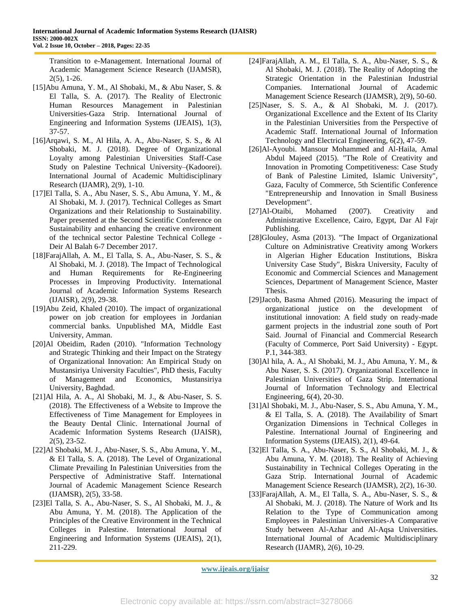Transition to e-Management. International Journal of Academic Management Science Research (IJAMSR), 2(5), 1-26.

- [15]Abu Amuna, Y. M., Al Shobaki, M., & Abu Naser, S. & El Talla, S. A. (2017). The Reality of Electronic Human Resources Management in Palestinian Universities-Gaza Strip. International Journal of Engineering and Information Systems (IJEAIS), 1(3), 37-57.
- [16]Arqawi, S. M., Al Hila, A. A., Abu-Naser, S. S., & Al Shobaki, M. J. (2018). Degree of Organizational Loyalty among Palestinian Universities Staff-Case Study on Palestine Technical University–(Kadoorei). International Journal of Academic Multidisciplinary Research (IJAMR), 2(9), 1-10.
- [17]El Talla, S. A., Abu Naser, S. S., Abu Amuna, Y. M., & Al Shobaki, M. J. (2017). Technical Colleges as Smart Organizations and their Relationship to Sustainability. Paper presented at the Second Scientific Conference on Sustainability and enhancing the creative environment of the technical sector Palestine Technical College - Deir Al Balah 6-7 December 2017.
- [18]FarajAllah, A. M., El Talla, S. A., Abu-Naser, S. S., & Al Shobaki, M. J. (2018). The Impact of Technological and Human Requirements for Re-Engineering Processes in Improving Productivity. International Journal of Academic Information Systems Research (IJAISR), 2(9), 29-38.
- [19]Abu Zeid, Khaled (2010). The impact of organizational power on job creation for employees in Jordanian commercial banks. Unpublished MA, Middle East University, Amman.
- [20]Al Obeidim, Raden (2010). "Information Technology and Strategic Thinking and their Impact on the Strategy of Organizational Innovation: An Empirical Study on Mustansiriya University Faculties", PhD thesis, Faculty of Management and Economics, Mustansiriya University, Baghdad.
- [21]Al Hila, A. A., Al Shobaki, M. J., & Abu-Naser, S. S. (2018). The Effectiveness of a Website to Improve the Effectiveness of Time Management for Employees in the Beauty Dental Clinic. International Journal of Academic Information Systems Research (IJAISR), 2(5), 23-52.
- [22]Al Shobaki, M. J., Abu-Naser, S. S., Abu Amuna, Y. M., & El Talla, S. A. (2018). The Level of Organizational Climate Prevailing In Palestinian Universities from the Perspective of Administrative Staff. International Journal of Academic Management Science Research (IJAMSR), 2(5), 33-58.
- [23]El Talla, S. A., Abu-Naser, S. S., Al Shobaki, M. J., & Abu Amuna, Y. M. (2018). The Application of the Principles of the Creative Environment in the Technical Colleges in Palestine. International Journal of Engineering and Information Systems (IJEAIS), 2(1), 211-229.
- [24]FarajAllah, A. M., El Talla, S. A., Abu-Naser, S. S., & Al Shobaki, M. J. (2018). The Reality of Adopting the Strategic Orientation in the Palestinian Industrial Companies. International Journal of Academic Management Science Research (IJAMSR), 2(9), 50-60.
- [25]Naser, S. S. A., & Al Shobaki, M. J. (2017). Organizational Excellence and the Extent of Its Clarity in the Palestinian Universities from the Perspective of Academic Staff. International Journal of Information Technology and Electrical Engineering, 6(2), 47-59.
- [26]Al-Ayoubi. Mansour Mohammed and Al-Haila, Amal Abdul Majeed (2015). "The Role of Creativity and Innovation in Promoting Competitiveness: Case Study of Bank of Palestine Limited, Islamic University", Gaza, Faculty of Commerce, 5th Scientific Conference "Entrepreneurship and Innovation in Small Business Development".
- [27]Al-Otaibi, Mohamed (2007). Creativity and Administrative Excellence, Cairo, Egypt, Dar Al Fajr Publishing.
- [28]Glouley, Asma (2013). "The Impact of Organizational Culture on Administrative Creativity among Workers in Algerian Higher Education Institutions, Biskra University Case Study", Biskra University, Faculty of Economic and Commercial Sciences and Management Sciences, Department of Management Science, Master Thesis.
- [29]Jacob, Basma Ahmed (2016). Measuring the impact of organizational justice on the development of institutional innovation: A field study on ready-made garment projects in the industrial zone south of Port Said. Journal of Financial and Commercial Research (Faculty of Commerce, Port Said University) - Egypt. P.1, 344-383.
- [30]Al hila, A. A., Al Shobaki, M. J., Abu Amuna, Y. M., & Abu Naser, S. S. (2017). Organizational Excellence in Palestinian Universities of Gaza Strip. International Journal of Information Technology and Electrical Engineering, 6(4), 20-30.
- [31]Al Shobaki, M. J., Abu-Naser, S. S., Abu Amuna, Y. M., & El Talla, S. A. (2018). The Availability of Smart Organization Dimensions in Technical Colleges in Palestine. International Journal of Engineering and Information Systems (IJEAIS), 2(1), 49-64.
- [32]El Talla, S. A., Abu-Naser, S. S., Al Shobaki, M. J., & Abu Amuna, Y. M. (2018). The Reality of Achieving Sustainability in Technical Colleges Operating in the Gaza Strip. International Journal of Academic Management Science Research (IJAMSR), 2(2), 16-30.
- [33]FarajAllah, A. M., El Talla, S. A., Abu-Naser, S. S., & Al Shobaki, M. J. (2018). The Nature of Work and Its Relation to the Type of Communication among Employees in Palestinian Universities-A Comparative Study between Al-Azhar and Al-Aqsa Universities. International Journal of Academic Multidisciplinary Research (IJAMR), 2(6), 10-29.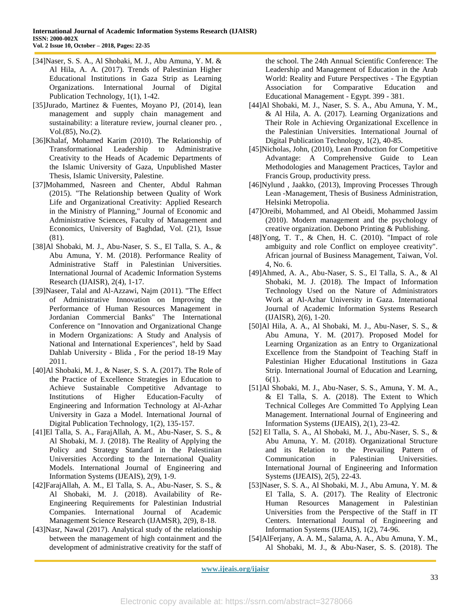- [34]Naser, S. S. A., Al Shobaki, M. J., Abu Amuna, Y. M. & Al Hila, A. A. (2017). Trends of Palestinian Higher Educational Institutions in Gaza Strip as Learning Organizations. International Journal of Digital Publication Technology, 1(1), 1-42.
- [35]Jurado, Martinez & Fuentes, Moyano PJ, (2014), lean management and supply chain management and sustainability: a literature review, journal cleaner pro. , Vol.(85), No.(2).
- [36]Khalaf, Mohamed Karim (2010). The Relationship of Transformational Leadership to Administrative Creativity to the Heads of Academic Departments of the Islamic University of Gaza, Unpublished Master Thesis, Islamic University, Palestine.
- [37]Mohammed, Nasreen and Chenter, Abdul Rahman (2015). "The Relationship between Quality of Work Life and Organizational Creativity: Applied Research in the Ministry of Planning," Journal of Economic and Administrative Sciences, Faculty of Management and Economics, University of Baghdad, Vol. (21), Issue (81).
- [38]Al Shobaki, M. J., Abu-Naser, S. S., El Talla, S. A., & Abu Amuna, Y. M. (2018). Performance Reality of Administrative Staff in Palestinian Universities. International Journal of Academic Information Systems Research (IJAISR), 2(4), 1-17.
- [39]Naseer, Talal and Al-Azzawi, Najm (2011). "The Effect of Administrative Innovation on Improving the Performance of Human Resources Management in Jordanian Commercial Banks" The International Conference on "Innovation and Organizational Change in Modern Organizations: A Study and Analysis of National and International Experiences", held by Saad Dahlab University - Blida , For the period 18-19 May 2011.
- [40]Al Shobaki, M. J., & Naser, S. S. A. (2017). The Role of the Practice of Excellence Strategies in Education to Achieve Sustainable Competitive Advantage to Institutions of Higher Education-Faculty of Engineering and Information Technology at Al-Azhar University in Gaza a Model. International Journal of Digital Publication Technology, 1(2), 135-157.
- [41]El Talla, S. A., FarajAllah, A. M., Abu-Naser, S. S., & Al Shobaki, M. J. (2018). The Reality of Applying the Policy and Strategy Standard in the Palestinian Universities According to the International Quality Models. International Journal of Engineering and Information Systems (IJEAIS), 2(9), 1-9.
- [42]FarajAllah, A. M., El Talla, S. A., Abu-Naser, S. S., & Al Shobaki, M. J. (2018). Availability of Re-Engineering Requirements for Palestinian Industrial Companies. International Journal of Academic Management Science Research (IJAMSR), 2(9), 8-18.
- [43]Nasr, Nawal (2017). Analytical study of the relationship between the management of high containment and the development of administrative creativity for the staff of

the school. The 24th Annual Scientific Conference: The Leadership and Management of Education in the Arab World: Reality and Future Perspectives - The Egyptian Association for Comparative Education and Educational Management - Egypt. 399 - 381.

- [44]Al Shobaki, M. J., Naser, S. S. A., Abu Amuna, Y. M., & Al Hila, A. A. (2017). Learning Organizations and Their Role in Achieving Organizational Excellence in the Palestinian Universities. International Journal of Digital Publication Technology, 1(2), 40-85.
- [45]Nicholas, John, (2010), Lean Production for Competitive Advantage: A Comprehensive Guide to Lean Methodologies and Management Practices, Taylor and Francis Group, productivity press.
- [46]Nylund , Jaakko, (2013), Improving Processes Through Lean -Management, Thesis of Business Administration, Helsinki Metropolia.
- [47]Oreibi, Mohammed, and Al Obeidi, Mohammed Jassim (2010). Modern management and the psychology of creative organization. Debono Printing & Publishing.
- [48]Yong, T. T., & Chen, H. C. (2010). "Impact of role ambiguity and role Conflict on employee creativity". African journal of Business Management, Taiwan, Vol. 4, No. 6.
- [49]Ahmed, A. A., Abu-Naser, S. S., El Talla, S. A., & Al Shobaki, M. J. (2018). The Impact of Information Technology Used on the Nature of Administrators Work at Al-Azhar University in Gaza. International Journal of Academic Information Systems Research (IJAISR), 2(6), 1-20.
- [50]Al Hila, A. A., Al Shobaki, M. J., Abu-Naser, S. S., & Abu Amuna, Y. M. (2017). Proposed Model for Learning Organization as an Entry to Organizational Excellence from the Standpoint of Teaching Staff in Palestinian Higher Educational Institutions in Gaza Strip. International Journal of Education and Learning, 6(1).
- [51]Al Shobaki, M. J., Abu-Naser, S. S., Amuna, Y. M. A., & El Talla, S. A. (2018). The Extent to Which Technical Colleges Are Committed To Applying Lean Management. International Journal of Engineering and Information Systems (IJEAIS), 2(1), 23-42.
- [52] El Talla, S. A., Al Shobaki, M. J., Abu-Naser, S. S., & Abu Amuna, Y. M. (2018). Organizational Structure and its Relation to the Prevailing Pattern of Communication in Palestinian Universities. International Journal of Engineering and Information Systems (IJEAIS), 2(5), 22-43.
- [53]Naser, S. S. A., Al Shobaki, M. J., Abu Amuna, Y. M. & El Talla, S. A. (2017). The Reality of Electronic Human Resources Management in Palestinian Universities from the Perspective of the Staff in IT Centers. International Journal of Engineering and Information Systems (IJEAIS), 1(2), 74-96.
- [54]AlFerjany, A. A. M., Salama, A. A., Abu Amuna, Y. M., Al Shobaki, M. J., & Abu-Naser, S. S. (2018). The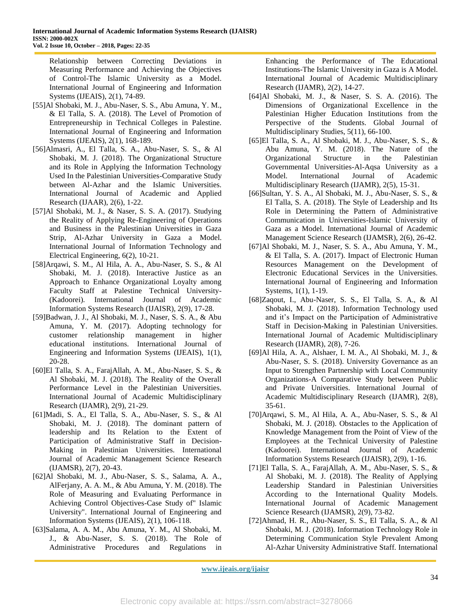Relationship between Correcting Deviations in Measuring Performance and Achieving the Objectives of Control-The Islamic University as a Model. International Journal of Engineering and Information Systems (IJEAIS), 2(1), 74-89.

- [55]Al Shobaki, M. J., Abu-Naser, S. S., Abu Amuna, Y. M., & El Talla, S. A. (2018). The Level of Promotion of Entrepreneurship in Technical Colleges in Palestine. International Journal of Engineering and Information Systems (IJEAIS), 2(1), 168-189.
- [56]Almasri, A., El Talla, S. A., Abu-Naser, S. S., & Al Shobaki, M. J. (2018). The Organizational Structure and its Role in Applying the Information Technology Used In the Palestinian Universities-Comparative Study between Al-Azhar and the Islamic Universities. International Journal of Academic and Applied Research (IJAAR), 2(6), 1-22.
- [57]Al Shobaki, M. J., & Naser, S. S. A. (2017). Studying the Reality of Applying Re-Engineering of Operations and Business in the Palestinian Universities in Gaza Strip, Al-Azhar University in Gaza a Model. International Journal of Information Technology and Electrical Engineering, 6(2), 10-21.
- [58]Arqawi, S. M., Al Hila, A. A., Abu-Naser, S. S., & Al Shobaki, M. J. (2018). Interactive Justice as an Approach to Enhance Organizational Loyalty among Faculty Staff at Palestine Technical University- (Kadoorei). International Journal of Academic Information Systems Research (IJAISR), 2(9), 17-28.
- [59]Badwan, J. J., Al Shobaki, M. J., Naser, S. S. A., & Abu Amuna, Y. M. (2017). Adopting technology for customer relationship management in higher educational institutions. International Journal of Engineering and Information Systems (IJEAIS), 1(1), 20-28.
- [60]El Talla, S. A., FarajAllah, A. M., Abu-Naser, S. S., & Al Shobaki, M. J. (2018). The Reality of the Overall Performance Level in the Palestinian Universities. International Journal of Academic Multidisciplinary Research (IJAMR), 2(9), 21-29.
- [61]Madi, S. A., El Talla, S. A., Abu-Naser, S. S., & Al Shobaki, M. J. (2018). The dominant pattern of leadership and Its Relation to the Extent of Participation of Administrative Staff in Decision-Making in Palestinian Universities. International Journal of Academic Management Science Research (IJAMSR), 2(7), 20-43.
- [62]Al Shobaki, M. J., Abu-Naser, S. S., Salama, A. A., AlFerjany, A. A. M., & Abu Amuna, Y. M. (2018). The Role of Measuring and Evaluating Performance in Achieving Control Objectives-Case Study of" Islamic University". International Journal of Engineering and Information Systems (IJEAIS), 2(1), 106-118.
- [63]Salama, A. A. M., Abu Amuna, Y. M., Al Shobaki, M. J., & Abu-Naser, S. S. (2018). The Role of Administrative Procedures and Regulations in

Enhancing the Performance of The Educational Institutions-The Islamic University in Gaza is A Model. International Journal of Academic Multidisciplinary Research (IJAMR), 2(2), 14-27.

- [64]Al Shobaki, M. J., & Naser, S. S. A. (2016). The Dimensions of Organizational Excellence in the Palestinian Higher Education Institutions from the Perspective of the Students. Global Journal of Multidisciplinary Studies, 5(11), 66-100.
- [65]El Talla, S. A., Al Shobaki, M. J., Abu-Naser, S. S., & Abu Amuna, Y. M. (2018). The Nature of the Organizational Structure in the Palestinian Governmental Universities-Al-Aqsa University as a Model. International Journal of Academic Multidisciplinary Research (IJAMR), 2(5), 15-31.
- [66]Sultan, Y. S. A., Al Shobaki, M. J., Abu-Naser, S. S., & El Talla, S. A. (2018). The Style of Leadership and Its Role in Determining the Pattern of Administrative Communication in Universities-Islamic University of Gaza as a Model. International Journal of Academic Management Science Research (IJAMSR), 2(6), 26-42.
- [67]Al Shobaki, M. J., Naser, S. S. A., Abu Amuna, Y. M., & El Talla, S. A. (2017). Impact of Electronic Human Resources Management on the Development of Electronic Educational Services in the Universities. International Journal of Engineering and Information Systems, 1(1), 1-19.
- [68]Zaqout, I., Abu-Naser, S. S., El Talla, S. A., & Al Shobaki, M. J. (2018). Information Technology used and it's Impact on the Participation of Administrative Staff in Decision-Making in Palestinian Universities. International Journal of Academic Multidisciplinary Research (IJAMR), 2(8), 7-26.
- [69]Al Hila, A. A., Alshaer, I. M. A., Al Shobaki, M. J., & Abu-Naser, S. S. (2018). University Governance as an Input to Strengthen Partnership with Local Community Organizations-A Comparative Study between Public and Private Universities. International Journal of Academic Multidisciplinary Research (IJAMR), 2(8), 35-61.
- [70]Arqawi, S. M., Al Hila, A. A., Abu-Naser, S. S., & Al Shobaki, M. J. (2018). Obstacles to the Application of Knowledge Management from the Point of View of the Employees at the Technical University of Palestine (Kadoorei). International Journal of Academic Information Systems Research (IJAISR), 2(9), 1-16.
- [71]El Talla, S. A., FarajAllah, A. M., Abu-Naser, S. S., & Al Shobaki, M. J. (2018). The Reality of Applying Leadership Standard in Palestinian Universities According to the International Quality Models. International Journal of Academic Management Science Research (IJAMSR), 2(9), 73-82.
- [72]Ahmad, H. R., Abu-Naser, S. S., El Talla, S. A., & Al Shobaki, M. J. (2018). Information Technology Role in Determining Communication Style Prevalent Among Al-Azhar University Administrative Staff. International